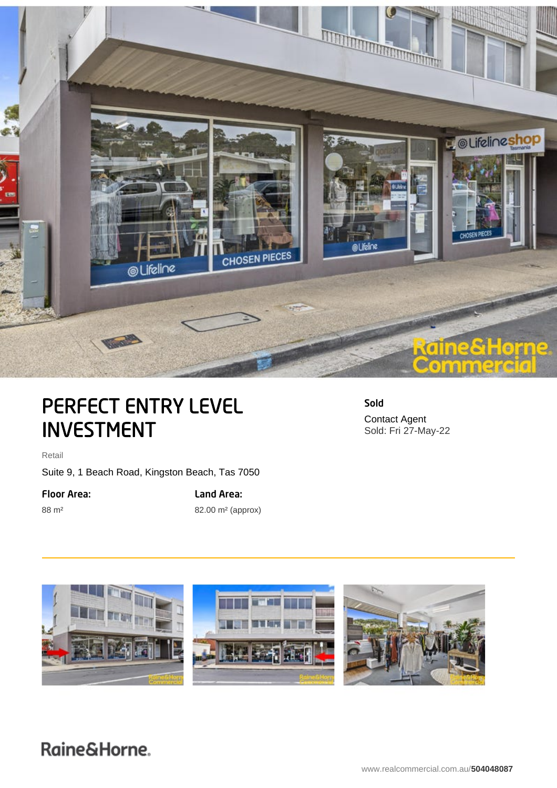

# PERFECT ENTRY LEVEL INVESTMENT

Sold Contact Agent Sold: Fri 27-May-22

Retail

Suite 9, 1 Beach Road, Kingston Beach, Tas 7050

Floor Area:

88 m²

Land Area: 82.00 m² (approx)

E.

## Raine&Horne.